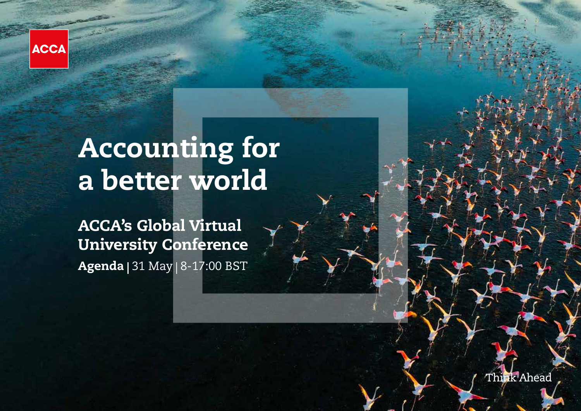

# Accounting for a better world

ACCA's Global Virtual University Conference Agenda | 31 May | 8-17:00 BST

Think Ahead